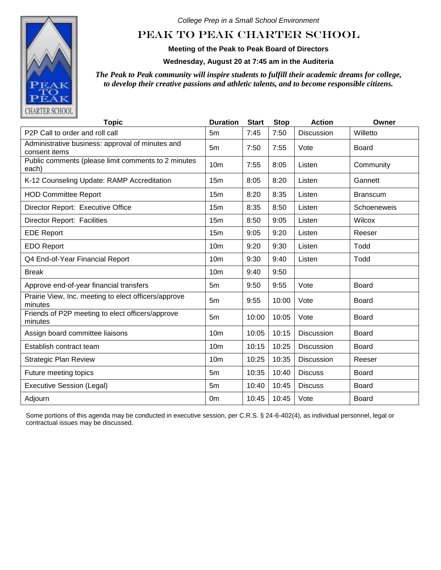

*College Prep in a Small School Environment*

## PEAK TO PEAK CHARTER SCHOOL

**Meeting of the Peak to Peak Board of Directors**

**Wednesday, August 20 at 7:45 am in the Auditeria**

*The Peak to Peak community will inspire students to fulfill their academic dreams for college, to develop their creative passions and athletic talents, and to become responsible citizens.*

| <b>Topic</b>                                                      | <b>Duration</b> | <b>Start</b> | <b>Stop</b> | <b>Action</b>     | Owner           |
|-------------------------------------------------------------------|-----------------|--------------|-------------|-------------------|-----------------|
| P <sub>2</sub> P Call to order and roll call                      | 5m              | 7:45         | 7:50        | <b>Discussion</b> | Willetto        |
| Administrative business: approval of minutes and<br>consent items | 5m              | 7:50         | 7:55        | Vote              | <b>Board</b>    |
| Public comments (please limit comments to 2 minutes<br>each)      | 10 <sub>m</sub> | 7:55         | 8:05        | Listen            | Community       |
| K-12 Counseling Update: RAMP Accreditation                        | 15 <sub>m</sub> | 8:05         | 8:20        | Listen            | Gannett         |
| <b>HOD Committee Report</b>                                       | 15m             | 8:20         | 8:35        | Listen            | <b>Branscum</b> |
| Director Report: Executive Office                                 | 15m             | 8:35         | 8:50        | Listen            | Schoeneweis     |
| <b>Director Report: Facilities</b>                                | 15 <sub>m</sub> | 8:50         | 9:05        | Listen            | Wilcox          |
| <b>EDE Report</b>                                                 | 15m             | 9:05         | 9:20        | Listen            | Reeser          |
| <b>EDO Report</b>                                                 | 10 <sub>m</sub> | 9:20         | 9:30        | Listen            | Todd            |
| Q4 End-of-Year Financial Report                                   | 10 <sub>m</sub> | 9:30         | 9:40        | Listen            | Todd            |
| <b>Break</b>                                                      | 10 <sub>m</sub> | 9:40         | 9:50        |                   |                 |
| Approve end-of-year financial transfers                           | 5 <sub>m</sub>  | 9:50         | 9:55        | Vote              | <b>Board</b>    |
| Prairie View, Inc. meeting to elect officers/approve<br>minutes   | 5 <sub>m</sub>  | 9:55         | 10:00       | Vote              | <b>Board</b>    |
| Friends of P2P meeting to elect officers/approve<br>minutes       | 5 <sub>m</sub>  | 10:00        | 10:05       | Vote              | <b>Board</b>    |
| Assign board committee liaisons                                   | 10 <sub>m</sub> | 10:05        | 10:15       | <b>Discussion</b> | Board           |
| Establish contract team                                           | 10 <sub>m</sub> | 10:15        | 10:25       | <b>Discussion</b> | <b>Board</b>    |
| <b>Strategic Plan Review</b>                                      | 10 <sub>m</sub> | 10:25        | 10:35       | <b>Discussion</b> | Reeser          |
| Future meeting topics                                             | 5 <sub>m</sub>  | 10:35        | 10:40       | <b>Discuss</b>    | <b>Board</b>    |
| <b>Executive Session (Legal)</b>                                  | 5 <sub>m</sub>  | 10:40        | 10:45       | <b>Discuss</b>    | <b>Board</b>    |
| Adjourn                                                           | 0 <sub>m</sub>  | 10:45        | 10:45       | Vote              | Board           |

Some portions of this agenda may be conducted in executive session, per C.R.S. § 24-6-402(4), as individual personnel, legal or contractual issues may be discussed.